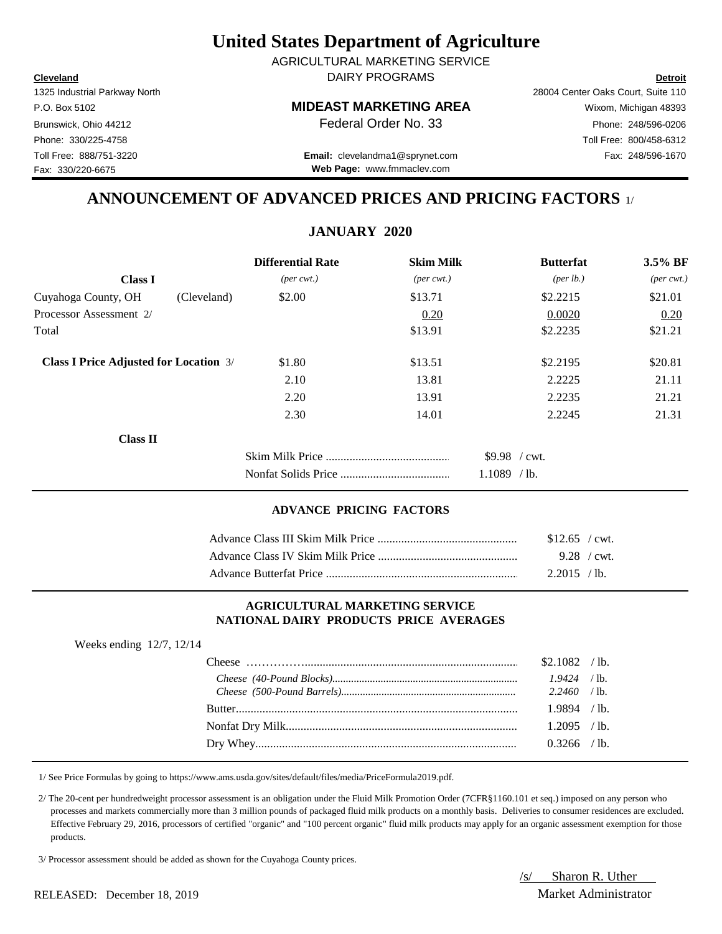**Cleveland Detroit** DAIRY PROGRAMS AGRICULTURAL MARKETING SERVICE

1325 Industrial Parkway North 28004 Center Oaks Court, Suite 110 Fax: 330/220-6675

## P.O. Box 5102 **MIDEAST MARKETING AREA** Wixom, Michigan 48393

Brunswick, Ohio 44212 **Phone:** 248/596-0206 **Federal Order No. 33** Phone: 248/596-0206 Phone: 330/225-4758 Toll Free: 800/458-6312

Toll Free: 888/751-3220 Fax: 248/596-1670 **Email:** clevelandma1@sprynet.com **Web Page:** www.fmmaclev.com

# **ANNOUNCEMENT OF ADVANCED PRICES AND PRICING FACTORS** 1/

## **JANUARY 2020**

|                                               | <b>Differential Rate</b>    | <b>Skim Milk</b>            | <b>Butterfat</b>     | 3.5% BF                     |
|-----------------------------------------------|-----------------------------|-----------------------------|----------------------|-----------------------------|
| <b>Class I</b>                                | $(\text{per} \text{ cwt.})$ | $(\text{per} \text{ cwt.})$ | ${\rm (per \, lb.)}$ | $(\text{per} \text{ cwt.})$ |
| Cuyahoga County, OH<br>(Cleveland)            | \$2.00                      | \$13.71                     | \$2.2215             | \$21.01                     |
| Processor Assessment 2/                       |                             | 0.20                        | 0.0020               | 0.20                        |
| Total                                         |                             | \$13.91                     | \$2.2235             | \$21.21                     |
| <b>Class I Price Adjusted for Location 3/</b> | \$1.80                      | \$13.51                     | \$2.2195             | \$20.81                     |
|                                               | 2.10                        | 13.81                       | 2.2225               | 21.11                       |
|                                               | 2.20                        | 13.91                       | 2.2235               | 21.21                       |
|                                               | 2.30                        | 14.01                       | 2.2245               | 21.31                       |
| <b>Class II</b>                               |                             |                             |                      |                             |
|                                               |                             |                             | $$9.98$ / cwt.       |                             |
|                                               |                             |                             | $1.1089$ /lb.        |                             |

### **ADVANCE PRICING FACTORS**

| $$12.65$ / cwt. |                |
|-----------------|----------------|
|                 | 9.28 / $cwt$ . |
| 2.2015 / lb.    |                |

#### **AGRICULTURAL MARKETING SERVICE NATIONAL DAIRY PRODUCTS PRICE AVERAGES**

| Weeks ending $12/7$ , $12/14$ |                |  |
|-------------------------------|----------------|--|
|                               | $$2.1082$ /lb. |  |
|                               |                |  |
|                               |                |  |
|                               | $1.9894$ /lb.  |  |
|                               | $1.2095$ /lb.  |  |
|                               | $0.3266$ /lb.  |  |

1/ See Price Formulas by going to https://www.ams.usda.gov/sites/default/files/media/PriceFormula2019.pdf.

 2/ The 20-cent per hundredweight processor assessment is an obligation under the Fluid Milk Promotion Order (7CFR§1160.101 et seq.) imposed on any person who processes and markets commercially more than 3 million pounds of packaged fluid milk products on a monthly basis. Deliveries to consumer residences are excluded. Effective February 29, 2016, processors of certified "organic" and "100 percent organic" fluid milk products may apply for an organic assessment exemption for those products.

3/ Processor assessment should be added as shown for the Cuyahoga County prices.

/s/ Sharon R. Uther

RELEASED: December 18, 2019 Market Administrator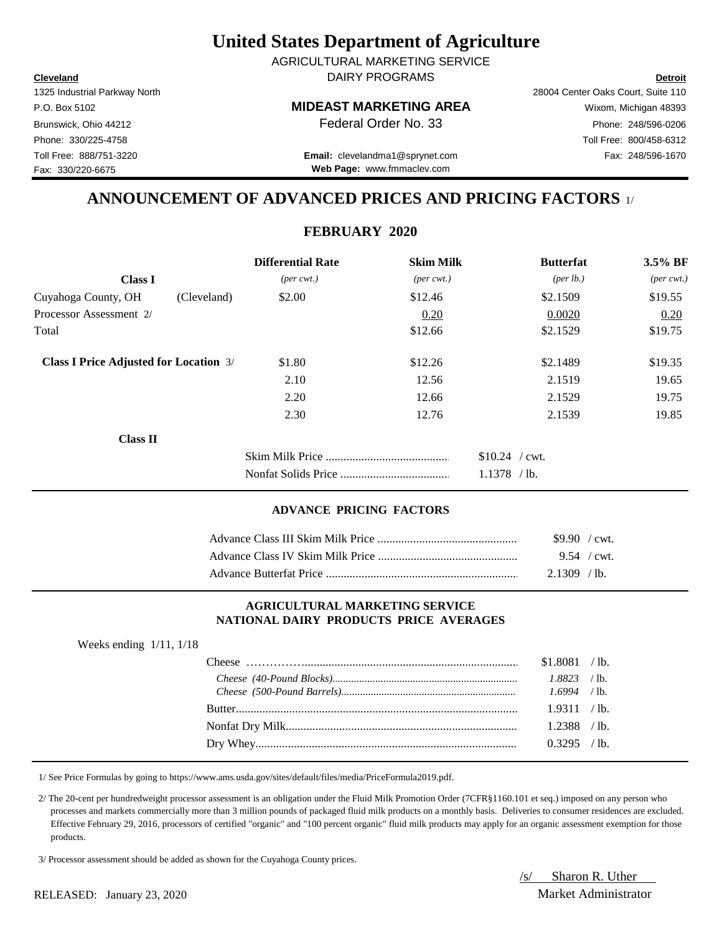**Cleveland Detroit** DAIRY PROGRAMS AGRICULTURAL MARKETING SERVICE

Fax: 330/220-6675

## P.O. Box 5102 **MIDEAST MARKETING AREA** Wixom, Michigan 48393

1325 Industrial Parkway North 28004 Center Oaks Court, Suite 110 Brunswick, Ohio 44212 **Phone:** 248/596-0206 **Federal Order No. 33** Phone: 248/596-0206 Phone: 330/225-4758 Toll Free: 800/458-6312

Toll Free: 888/751-3220 Fax: 248/596-1670 **Email:** clevelandma1@sprynet.com **Web Page:** www.fmmaclev.com

# **ANNOUNCEMENT OF ADVANCED PRICES AND PRICING FACTORS** 1/

## **FEBRUARY 2020**

|                                               | <b>Differential Rate</b>    | <b>Skim Milk</b>            | <b>Butterfat</b>     | 3.5% BF                     |
|-----------------------------------------------|-----------------------------|-----------------------------|----------------------|-----------------------------|
| <b>Class I</b>                                | $(\text{per} \text{ cwt.})$ | $(\text{per} \text{ cwt.})$ | ${\rm (per \, lb.)}$ | $(\text{per} \text{ cwt.})$ |
| Cuyahoga County, OH<br>(Cleveland)            | \$2.00                      | \$12.46                     | \$2.1509             | \$19.55                     |
| Processor Assessment 2/                       |                             | 0.20                        | 0.0020               | 0.20                        |
| Total                                         |                             | \$12.66                     | \$2.1529             | \$19.75                     |
| <b>Class I Price Adjusted for Location 3/</b> | \$1.80                      | \$12.26                     | \$2.1489             | \$19.35                     |
|                                               | 2.10                        | 12.56                       | 2.1519               | 19.65                       |
|                                               | 2.20                        | 12.66                       | 2.1529               | 19.75                       |
|                                               | 2.30                        | 12.76                       | 2.1539               | 19.85                       |
| <b>Class II</b>                               |                             |                             |                      |                             |
|                                               |                             |                             | $$10.24$ / cwt.      |                             |
|                                               |                             |                             | $1.1378$ /lb.        |                             |

### **ADVANCE PRICING FACTORS**

| $$9.90$ / cwt. |  |
|----------------|--|
| 9.54 / cwt.    |  |
| $2.1309$ / lb. |  |

#### **AGRICULTURAL MARKETING SERVICE NATIONAL DAIRY PRODUCTS PRICE AVERAGES**

| Weeks ending $1/11$ , $1/18$ |                |  |
|------------------------------|----------------|--|
|                              | $$1.8081$ /lb. |  |
|                              | $1.8823$ /lb.  |  |
|                              | $1.6994$ /lb.  |  |
|                              | 1.9311 / lb.   |  |
|                              | 1.2388 / lb.   |  |
|                              | $0.3295$ /lb.  |  |

1/ See Price Formulas by going to https://www.ams.usda.gov/sites/default/files/media/PriceFormula2019.pdf.

 2/ The 20-cent per hundredweight processor assessment is an obligation under the Fluid Milk Promotion Order (7CFR§1160.101 et seq.) imposed on any person who processes and markets commercially more than 3 million pounds of packaged fluid milk products on a monthly basis. Deliveries to consumer residences are excluded. Effective February 29, 2016, processors of certified "organic" and "100 percent organic" fluid milk products may apply for an organic assessment exemption for those products.

3/ Processor assessment should be added as shown for the Cuyahoga County prices.

/s/ Sharon R. Uther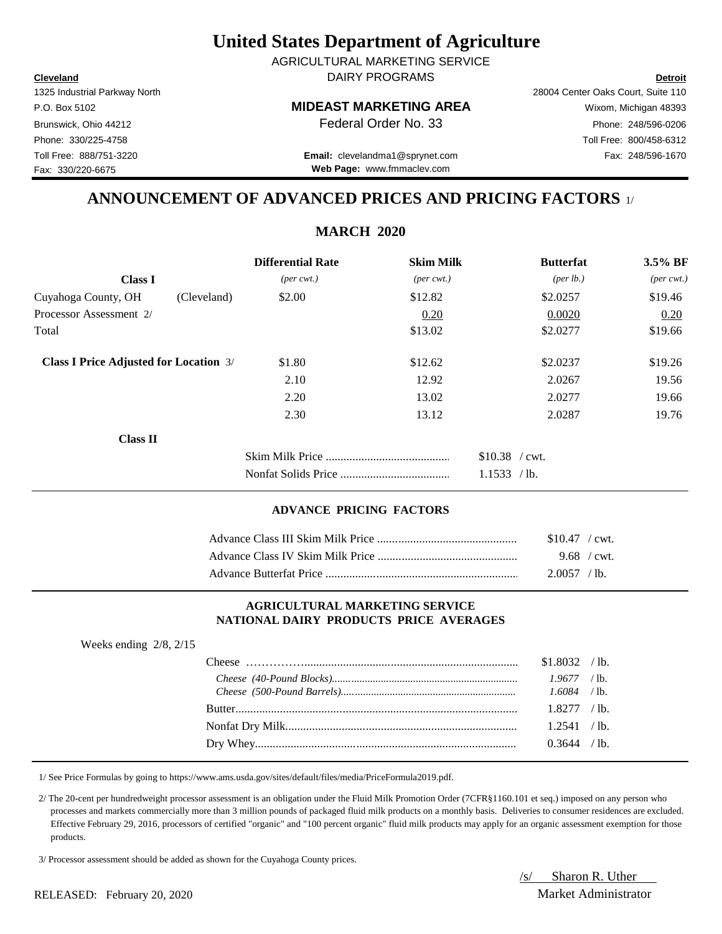**Cleveland Detroit** DAIRY PROGRAMS AGRICULTURAL MARKETING SERVICE

Fax: 330/220-6675

### P.O. Box 5102 **MIDEAST MARKETING AREA** Wixom, Michigan 48393

1325 Industrial Parkway North 28004 Center Oaks Court, Suite 110 Brunswick, Ohio 44212 **Phone: 248/596-0206 Federal Order No. 33** Phone: 248/596-0206 Phone: 330/225-4758 Toll Free: 800/458-6312

Toll Free: 888/751-3220 Fax: 248/596-1670 **Email:** clevelandma1@sprynet.com **Web Page:** www.fmmaclev.com

## **ANNOUNCEMENT OF ADVANCED PRICES AND PRICING FACTORS** 1/

## **MARCH 2020**

|                                               | <b>Differential Rate</b>    | <b>Skim Milk</b>            | <b>Butterfat</b>   | 3.5% BF                     |
|-----------------------------------------------|-----------------------------|-----------------------------|--------------------|-----------------------------|
| <b>Class I</b>                                | $(\text{per} \text{ cwt.})$ | $(\text{per} \text{ cwt.})$ | $(\text{per lb.})$ | $(\text{per} \text{ cwt.})$ |
| Cuyahoga County, OH<br>(Cleveland)            | \$2.00                      | \$12.82                     | \$2.0257           | \$19.46                     |
| Processor Assessment 2/                       |                             | 0.20                        | 0.0020             | 0.20                        |
| Total                                         |                             | \$13.02                     | \$2.0277           | \$19.66                     |
| <b>Class I Price Adjusted for Location 3/</b> | \$1.80                      | \$12.62                     | \$2.0237           | \$19.26                     |
|                                               | 2.10                        | 12.92                       | 2.0267             | 19.56                       |
|                                               | 2.20                        | 13.02                       | 2.0277             | 19.66                       |
|                                               | 2.30                        | 13.12                       | 2.0287             | 19.76                       |
| <b>Class II</b>                               |                             |                             |                    |                             |
|                                               |                             |                             | \$10.38 / cwt.     |                             |
|                                               |                             |                             | 1.1533 / lb.       |                             |

#### **ADVANCE PRICING FACTORS**

| $$10.47$ / cwt. |  |
|-----------------|--|
| $9.68$ / cwt.   |  |
| 2.0057 / lb.    |  |

#### **AGRICULTURAL MARKETING SERVICE NATIONAL DAIRY PRODUCTS PRICE AVERAGES**

| Weeks ending $2/8$ , $2/15$ |                |  |
|-----------------------------|----------------|--|
|                             | $$1.8032$ /lb. |  |
|                             | $1.9677$ /lb.  |  |
|                             | $1.6084$ /lb.  |  |
|                             | $1.8277$ /lb.  |  |
|                             | 1.2541 / lb.   |  |
|                             | $0.3644$ /lb.  |  |
|                             |                |  |

1/ See Price Formulas by going to https://www.ams.usda.gov/sites/default/files/media/PriceFormula2019.pdf.

 2/ The 20-cent per hundredweight processor assessment is an obligation under the Fluid Milk Promotion Order (7CFR§1160.101 et seq.) imposed on any person who processes and markets commercially more than 3 million pounds of packaged fluid milk products on a monthly basis. Deliveries to consumer residences are excluded. Effective February 29, 2016, processors of certified "organic" and "100 percent organic" fluid milk products may apply for an organic assessment exemption for those products.

3/ Processor assessment should be added as shown for the Cuyahoga County prices.

/s/ Sharon R. Uther

RELEASED: February 20, 2020 200 and the extent of the Market Administrator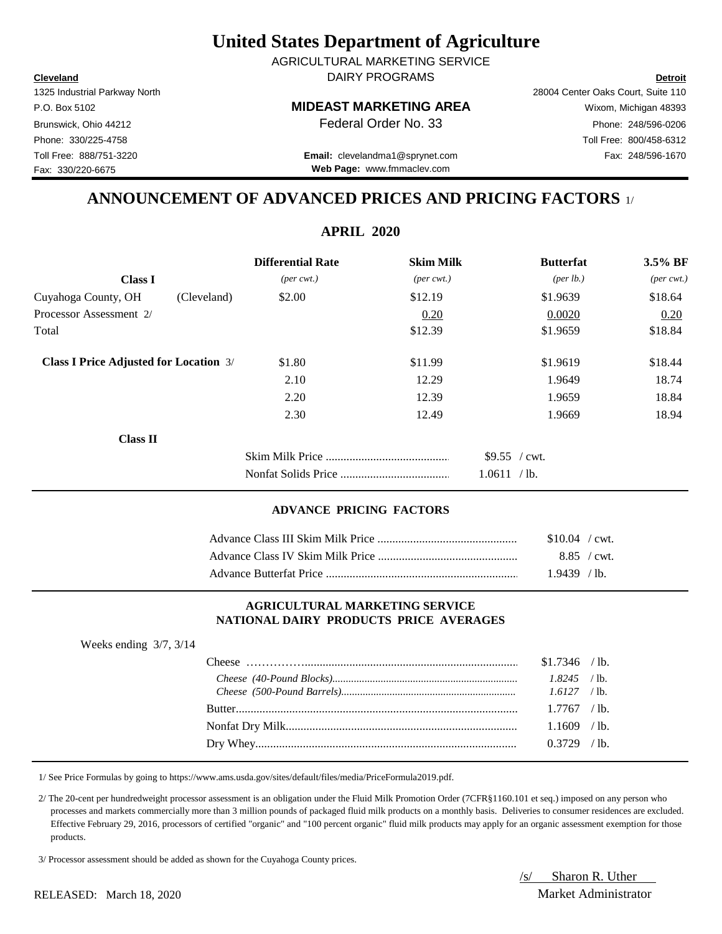**Cleveland Detroit** DAIRY PROGRAMS AGRICULTURAL MARKETING SERVICE

Fax: 330/220-6675

1325 Industrial Parkway North 28004 Center Oaks Court, Suite 110 P.O. Box 5102 **MIDEAST MARKETING AREA** Wixom, Michigan 48393 Brunswick, Ohio 44212 **Phone:** 248/596-0206 **Federal Order No. 33** Phone: 248/596-0206 Phone: 330/225-4758 Toll Free: 800/458-6312

Toll Free: 888/751-3220 Fax: 248/596-1670 **Email:** clevelandma1@sprynet.com **Web Page:** www.fmmaclev.com

# **ANNOUNCEMENT OF ADVANCED PRICES AND PRICING FACTORS** 1/

| <b>APRIL 2020</b>                             |                             |                             |                      |                             |
|-----------------------------------------------|-----------------------------|-----------------------------|----------------------|-----------------------------|
|                                               | <b>Differential Rate</b>    | <b>Skim Milk</b>            | <b>Butterfat</b>     | 3.5% BF                     |
| <b>Class I</b>                                | $(\text{per} \text{ cwt.})$ | $(\text{per} \text{ cwt.})$ | ${\rm (per \, lb.)}$ | $(\text{per} \text{ cwt.})$ |
| Cuyahoga County, OH<br>(Cleveland)            | \$2.00                      | \$12.19                     | \$1.9639             | \$18.64                     |
| Processor Assessment 2/                       |                             | 0.20                        | 0.0020               | 0.20                        |
| Total                                         |                             | \$12.39                     | \$1.9659             | \$18.84                     |
| <b>Class I Price Adjusted for Location 3/</b> | \$1.80                      | \$11.99                     | \$1.9619             | \$18.44                     |
|                                               | 2.10                        | 12.29                       | 1.9649               | 18.74                       |
|                                               | 2.20                        | 12.39                       | 1.9659               | 18.84                       |
|                                               | 2.30                        | 12.49                       | 1.9669               | 18.94                       |
| <b>Class II</b>                               |                             |                             |                      |                             |
|                                               |                             |                             | \$9.55 / cwt.        |                             |
|                                               |                             |                             | 1.0611 / lb.         |                             |

### **ADVANCE PRICING FACTORS**

| $$10.04$ / cwt. |  |
|-----------------|--|
| 8.85 / cwt.     |  |
| $1.9439$ / lb.  |  |

#### **AGRICULTURAL MARKETING SERVICE NATIONAL DAIRY PRODUCTS PRICE AVERAGES**

| Weeks ending $3/7$ , $3/14$ |                |  |
|-----------------------------|----------------|--|
|                             | $$1.7346$ /lb. |  |
|                             | $1.8245$ /lb.  |  |
|                             |                |  |
|                             | $1.7767$ / lb. |  |
|                             | $1.1609$ /lb.  |  |
|                             | $0.3729$ /lb.  |  |

1/ See Price Formulas by going to https://www.ams.usda.gov/sites/default/files/media/PriceFormula2019.pdf.

 2/ The 20-cent per hundredweight processor assessment is an obligation under the Fluid Milk Promotion Order (7CFR§1160.101 et seq.) imposed on any person who processes and markets commercially more than 3 million pounds of packaged fluid milk products on a monthly basis. Deliveries to consumer residences are excluded. Effective February 29, 2016, processors of certified "organic" and "100 percent organic" fluid milk products may apply for an organic assessment exemption for those products.

3/ Processor assessment should be added as shown for the Cuyahoga County prices.

/s/ Sharon R. Uther

#### RELEASED: March 18, 2020 Market Administrator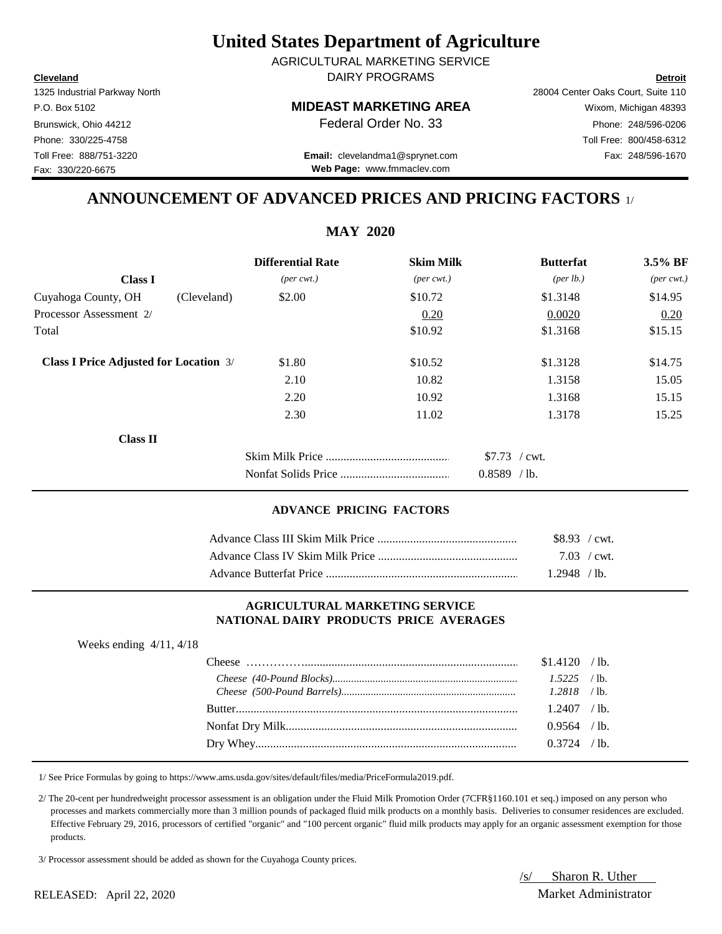**Cleveland Detroit** DAIRY PROGRAMS AGRICULTURAL MARKETING SERVICE

Fax: 330/220-6675

## P.O. Box 5102 **MIDEAST MARKETING AREA** Wixom, Michigan 48393

1325 Industrial Parkway North 28004 Center Oaks Court, Suite 110 Brunswick, Ohio 44212 **Phone:** 248/596-0206 **Federal Order No. 33** Phone: 248/596-0206 Phone: 330/225-4758 Toll Free: 800/458-6312

Toll Free: 888/751-3220 Fax: 248/596-1670 **Email:** clevelandma1@sprynet.com **Web Page:** www.fmmaclev.com

## **ANNOUNCEMENT OF ADVANCED PRICES AND PRICING FACTORS** 1/

|                                               |             | <b>MAY 2020</b>             |                             |                |                      |                             |
|-----------------------------------------------|-------------|-----------------------------|-----------------------------|----------------|----------------------|-----------------------------|
|                                               |             | <b>Differential Rate</b>    | <b>Skim Milk</b>            |                | <b>Butterfat</b>     | 3.5% BF                     |
| <b>Class I</b>                                |             | $(\text{per} \text{ cwt.})$ | $(\text{per} \text{ cwt.})$ |                | ${\rm (per \, lb.)}$ | $(\text{per} \text{ cwt.})$ |
| Cuyahoga County, OH                           | (Cleveland) | \$2.00                      | \$10.72                     | \$1.3148       |                      | \$14.95                     |
| Processor Assessment 2/                       |             |                             | 0.20                        |                | 0.0020               | 0.20                        |
| Total                                         |             |                             | \$10.92                     | \$1.3168       |                      | \$15.15                     |
| <b>Class I Price Adjusted for Location 3/</b> |             | \$1.80                      | \$10.52                     | \$1.3128       |                      | \$14.75                     |
|                                               |             | 2.10                        | 10.82                       |                | 1.3158               | 15.05                       |
|                                               |             | 2.20                        | 10.92                       |                | 1.3168               | 15.15                       |
|                                               |             | 2.30                        | 11.02                       |                | 1.3178               | 15.25                       |
| Class II                                      |             |                             |                             |                |                      |                             |
|                                               |             |                             |                             | $$7.73$ / cwt. |                      |                             |
|                                               |             |                             |                             | $0.8589$ /lb.  |                      |                             |

### **ADVANCE PRICING FACTORS**

| $$8.93$ / cwt. |  |
|----------------|--|
| $7.03$ / cwt.  |  |
| $1.2948$ / lb. |  |

#### **AGRICULTURAL MARKETING SERVICE NATIONAL DAIRY PRODUCTS PRICE AVERAGES**

| Weeks ending $4/11$ , $4/18$ |                                                                                                                                                                                                                                                                                                                                            |                |  |
|------------------------------|--------------------------------------------------------------------------------------------------------------------------------------------------------------------------------------------------------------------------------------------------------------------------------------------------------------------------------------------|----------------|--|
|                              | Cheese $\ldots$ $\ldots$ $\ldots$ $\ldots$ $\ldots$ $\ldots$ $\ldots$ $\ldots$ $\ldots$ $\ldots$ $\ldots$ $\ldots$ $\ldots$ $\ldots$ $\ldots$ $\ldots$ $\ldots$ $\ldots$ $\ldots$ $\ldots$ $\ldots$ $\ldots$ $\ldots$ $\ldots$ $\ldots$ $\ldots$ $\ldots$ $\ldots$ $\ldots$ $\ldots$ $\ldots$ $\ldots$ $\ldots$ $\ldots$ $\ldots$ $\ldots$ | $$1.4120$ /lb. |  |
|                              |                                                                                                                                                                                                                                                                                                                                            | $1.5225$ /lb.  |  |
|                              |                                                                                                                                                                                                                                                                                                                                            | $1.2818$ /lb.  |  |
|                              |                                                                                                                                                                                                                                                                                                                                            | $1.2407$ /lb.  |  |
|                              |                                                                                                                                                                                                                                                                                                                                            | $0.9564$ /lb.  |  |
|                              |                                                                                                                                                                                                                                                                                                                                            | $0.3724$ / lb. |  |

1/ See Price Formulas by going to https://www.ams.usda.gov/sites/default/files/media/PriceFormula2019.pdf.

 2/ The 20-cent per hundredweight processor assessment is an obligation under the Fluid Milk Promotion Order (7CFR§1160.101 et seq.) imposed on any person who processes and markets commercially more than 3 million pounds of packaged fluid milk products on a monthly basis. Deliveries to consumer residences are excluded. Effective February 29, 2016, processors of certified "organic" and "100 percent organic" fluid milk products may apply for an organic assessment exemption for those products.

3/ Processor assessment should be added as shown for the Cuyahoga County prices.

/s/ Sharon R. Uther

#### RELEASED: April 22, 2020 Market Administrator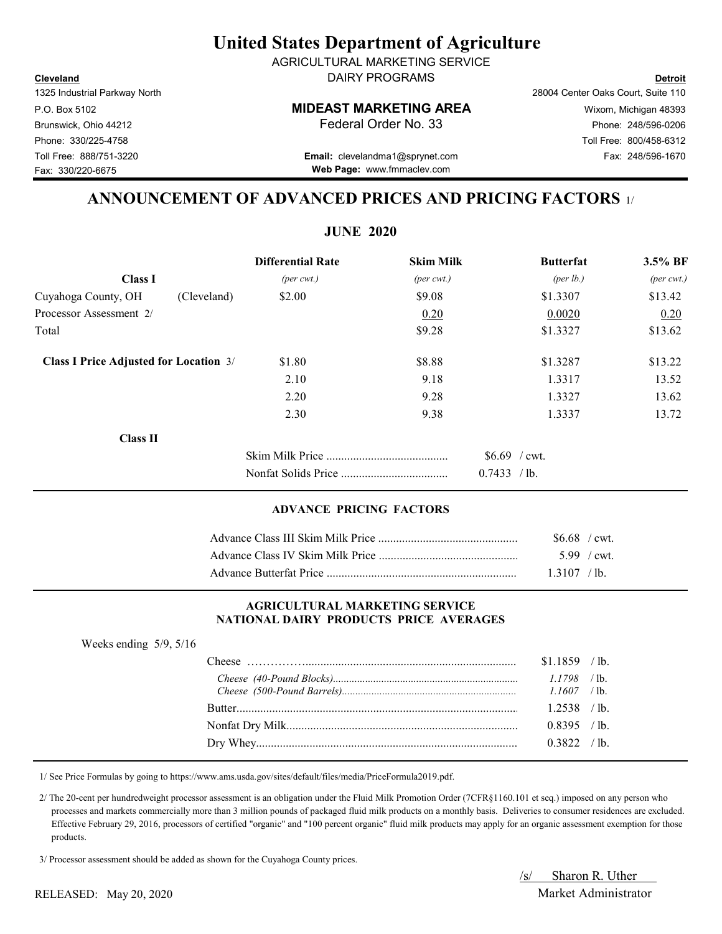**Cleveland Detroit** DAIRY PROGRAMS AGRICULTURAL MARKETING SERVICE

Fax: 330/220-6675

## P.O. Box 5102 **MIDEAST MARKETING AREA** Wixom, Michigan 48393

1325 Industrial Parkway North 28004 Center Oaks Court, Suite 110 Brunswick, Ohio 44212 **Phone: 248/596-0206 Federal Order No. 33** Phone: 248/596-0206 Phone: 330/225-4758 Toll Free: 800/458-6312

Toll Free: 888/751-3220 Fax: 248/596-1670 **Email:** clevelandma1@sprynet.com **Web Page:** www.fmmaclev.com

## **ANNOUNCEMENT OF ADVANCED PRICES AND PRICING FACTORS** 1/

|                                               | <b>JUNE 2020</b>            |                              |                  |                             |
|-----------------------------------------------|-----------------------------|------------------------------|------------------|-----------------------------|
|                                               | <b>Differential Rate</b>    | <b>Skim Milk</b>             | <b>Butterfat</b> | 3.5% BF                     |
| <b>Class I</b>                                | $(\text{per} \text{ cwt.})$ | $(\text{per} \ \text{cvt.})$ | (per lb.)        | $(\text{per} \text{ cwt.})$ |
| Cuyahoga County, OH                           | (Cleveland)<br>\$2.00       | \$9.08                       | \$1.3307         | \$13.42                     |
| Processor Assessment 2/                       |                             | 0.20                         | 0.0020           | 0.20                        |
| Total                                         |                             | \$9.28                       | \$1.3327         | \$13.62                     |
| <b>Class I Price Adjusted for Location 3/</b> | \$1.80                      | \$8.88                       | \$1.3287         | \$13.22                     |
|                                               | 2.10                        | 9.18                         | 1.3317           | 13.52                       |
|                                               | 2.20                        | 9.28                         | 1.3327           | 13.62                       |
|                                               | 2.30                        | 9.38                         | 1.3337           | 13.72                       |
| <b>Class II</b>                               |                             |                              |                  |                             |
|                                               |                             |                              | $$6.69$ / cwt.   |                             |
|                                               |                             |                              | 0.7433 / lb.     |                             |

### **ADVANCE PRICING FACTORS**

| $$6.68$ / cwt. |             |
|----------------|-------------|
|                | 5.99 / cwt. |
| $1.3107$ /lb.  |             |

#### **AGRICULTURAL MARKETING SERVICE NATIONAL DAIRY PRODUCTS PRICE AVERAGES**

| Weeks ending $5/9$ , $5/16$ |                |  |
|-----------------------------|----------------|--|
|                             | $$1.1859$ /lb. |  |
|                             |                |  |
|                             |                |  |
|                             | $1.2538$ /lb.  |  |
|                             | $0.8395$ /lb.  |  |
|                             | 0.3822 / lb.   |  |

1/ See Price Formulas by going to https://www.ams.usda.gov/sites/default/files/media/PriceFormula2019.pdf.

 2/ The 20-cent per hundredweight processor assessment is an obligation under the Fluid Milk Promotion Order (7CFR§1160.101 et seq.) imposed on any person who processes and markets commercially more than 3 million pounds of packaged fluid milk products on a monthly basis. Deliveries to consumer residences are excluded. Effective February 29, 2016, processors of certified "organic" and "100 percent organic" fluid milk products may apply for an organic assessment exemption for those products.

3/ Processor assessment should be added as shown for the Cuyahoga County prices.

/s/ Sharon R. Uther

### RELEASED: May 20, 2020 Market Administrator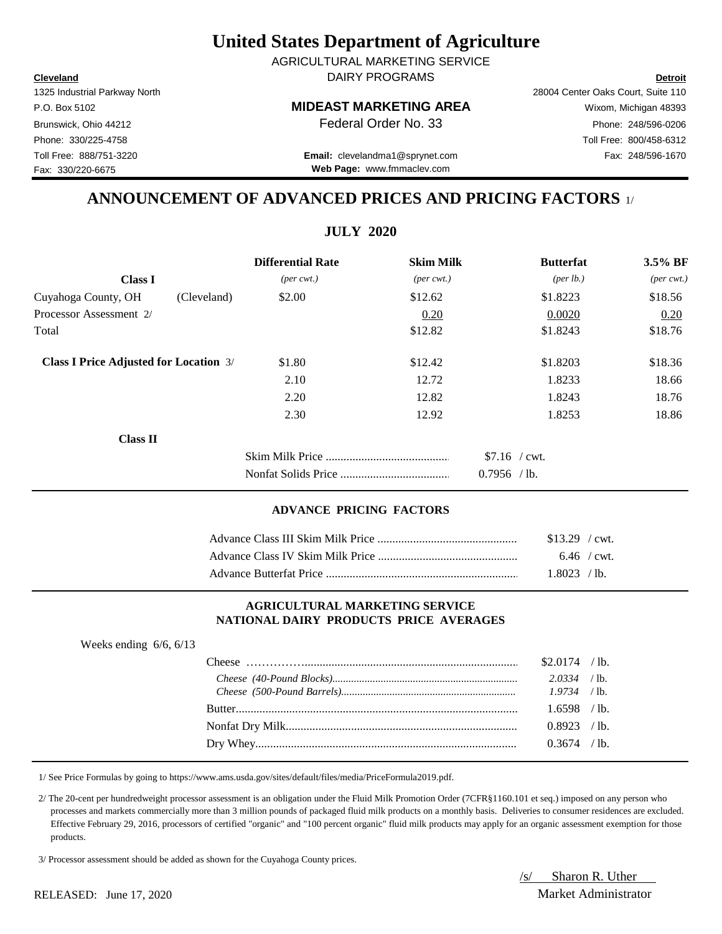**Cleveland Detroit** DAIRY PROGRAMS AGRICULTURAL MARKETING SERVICE

1325 Industrial Parkway North 28004 Center Oaks Court, Suite 110 Fax: 330/220-6675

P.O. Box 5102 **MIDEAST MARKETING AREA** Wixom, Michigan 48393 Brunswick, Ohio 44212 **Phone:** 248/596-0206 **Federal Order No. 33** Phone: 248/596-0206 Phone: 330/225-4758 Toll Free: 800/458-6312

Toll Free: 888/751-3220 Fax: 248/596-1670 **Email:** clevelandma1@sprynet.com **Web Page:** www.fmmaclev.com

# **ANNOUNCEMENT OF ADVANCED PRICES AND PRICING FACTORS** 1/

**JULY 2020** 

|                                               | JULI <i>Z</i> UZU           |                             |                      |                             |
|-----------------------------------------------|-----------------------------|-----------------------------|----------------------|-----------------------------|
|                                               | <b>Differential Rate</b>    | <b>Skim Milk</b>            | <b>Butterfat</b>     | 3.5% BF                     |
| <b>Class I</b>                                | $(\text{per} \text{ cwt.})$ | $(\text{per} \text{ cwt.})$ | ${\rm (per \, lb.)}$ | $(\text{per} \text{ cwt.})$ |
| Cuyahoga County, OH<br>(Cleveland)            | \$2.00                      | \$12.62                     | \$1.8223             | \$18.56                     |
| Processor Assessment 2/                       |                             | 0.20                        | 0.0020               | 0.20                        |
| Total                                         |                             | \$12.82                     | \$1.8243             | \$18.76                     |
| <b>Class I Price Adjusted for Location 3/</b> | \$1.80                      | \$12.42                     | \$1.8203             | \$18.36                     |
|                                               | 2.10                        | 12.72                       | 1.8233               | 18.66                       |
|                                               | 2.20                        | 12.82                       | 1.8243               | 18.76                       |
|                                               | 2.30                        | 12.92                       | 1.8253               | 18.86                       |
| <b>Class II</b>                               |                             |                             |                      |                             |
|                                               |                             |                             | $$7.16$ / cwt.       |                             |
|                                               |                             |                             | $0.7956$ /lb.        |                             |

### **ADVANCE PRICING FACTORS**

| $$13.29$ / cwt. |  |
|-----------------|--|
| $6.46$ / cwt.   |  |
| $1.8023$ / lb.  |  |

#### **AGRICULTURAL MARKETING SERVICE NATIONAL DAIRY PRODUCTS PRICE AVERAGES**

| Weeks ending $6/6$ , $6/13$ |                 |  |
|-----------------------------|-----------------|--|
|                             | $$2.0174$ / lb. |  |
|                             | $2.0334$ /lb.   |  |
|                             | $1.9734$ /lb.   |  |
|                             | $1.6598$ /lb.   |  |
|                             | $0.8923$ /lb.   |  |
|                             | $0.3674$ /lb.   |  |

1/ See Price Formulas by going to https://www.ams.usda.gov/sites/default/files/media/PriceFormula2019.pdf.

 2/ The 20-cent per hundredweight processor assessment is an obligation under the Fluid Milk Promotion Order (7CFR§1160.101 et seq.) imposed on any person who processes and markets commercially more than 3 million pounds of packaged fluid milk products on a monthly basis. Deliveries to consumer residences are excluded. Effective February 29, 2016, processors of certified "organic" and "100 percent organic" fluid milk products may apply for an organic assessment exemption for those products.

3/ Processor assessment should be added as shown for the Cuyahoga County prices.

/s/ Sharon R. Uther RELEASED: June 17, 2020 Market Administrator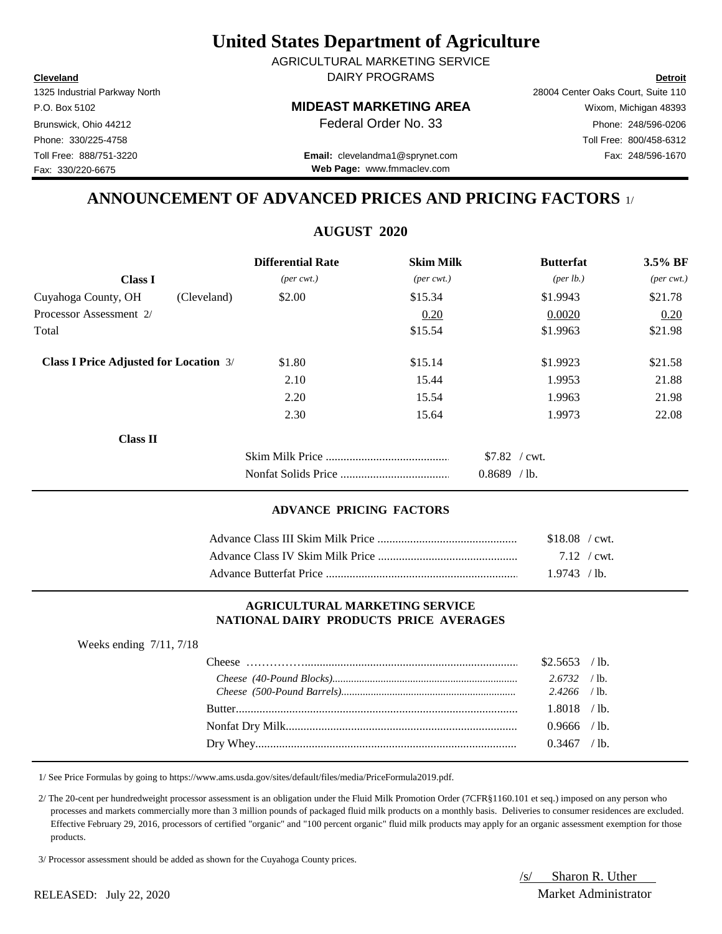**Cleveland Detroit** DAIRY PROGRAMS AGRICULTURAL MARKETING SERVICE

Fax: 330/220-6675

1325 Industrial Parkway North 28004 Center Oaks Court, Suite 110 P.O. Box 5102 **MIDEAST MARKETING AREA** Wixom, Michigan 48393 Brunswick, Ohio 44212 **Phone:** 248/596-0206 **Federal Order No. 33** Phone: 248/596-0206 Phone: 330/225-4758 Toll Free: 800/458-6312

Toll Free: 888/751-3220 Fax: 248/596-1670 **Email:** clevelandma1@sprynet.com **Web Page:** www.fmmaclev.com

## **ANNOUNCEMENT OF ADVANCED PRICES AND PRICING FACTORS** 1/

# **AUGUST 2020**

|                                               |             | <b>Differential Rate</b>    | <b>Skim Milk</b>            | <b>Butterfat</b>     | 3.5% BF                     |
|-----------------------------------------------|-------------|-----------------------------|-----------------------------|----------------------|-----------------------------|
| <b>Class I</b>                                |             | $(\text{per} \text{ cwt.})$ | $(\text{per} \text{ cwt.})$ | ${\rm (per \, lb.)}$ | $(\text{per} \text{ cwt.})$ |
| Cuyahoga County, OH                           | (Cleveland) | \$2.00                      | \$15.34                     | \$1.9943             | \$21.78                     |
| Processor Assessment 2/                       |             |                             | 0.20                        | 0.0020               | 0.20                        |
| Total                                         |             |                             | \$15.54                     | \$1.9963             | \$21.98                     |
| <b>Class I Price Adjusted for Location 3/</b> |             | \$1.80                      | \$15.14                     | \$1.9923             | \$21.58                     |
|                                               |             | 2.10                        | 15.44                       | 1.9953               | 21.88                       |
|                                               |             | 2.20                        | 15.54                       | 1.9963               | 21.98                       |
|                                               |             | 2.30                        | 15.64                       | 1.9973               | 22.08                       |
| <b>Class II</b>                               |             |                             |                             |                      |                             |
|                                               |             |                             |                             | $$7.82$ / cwt.       |                             |
|                                               |             |                             |                             | $0.8689$ /lb.        |                             |

### **ADVANCE PRICING FACTORS**

| $$18.08$ / cwt. |  |
|-----------------|--|
| 7.12 / cwt.     |  |
| 1.9743 / h      |  |

#### **AGRICULTURAL MARKETING SERVICE NATIONAL DAIRY PRODUCTS PRICE AVERAGES**

| Weeks ending $7/11$ , $7/18$ |                |  |
|------------------------------|----------------|--|
|                              | $$2.5653$ /lb. |  |
|                              | $2.6732$ /lb.  |  |
|                              | $2.4266$ /lb.  |  |
|                              | $1.8018$ /lb.  |  |
|                              | $0.9666$ / lb. |  |
|                              | $0.3467$ /lb.  |  |
|                              |                |  |

1/ See Price Formulas by going to https://www.ams.usda.gov/sites/default/files/media/PriceFormula2019.pdf.

 2/ The 20-cent per hundredweight processor assessment is an obligation under the Fluid Milk Promotion Order (7CFR§1160.101 et seq.) imposed on any person who processes and markets commercially more than 3 million pounds of packaged fluid milk products on a monthly basis. Deliveries to consumer residences are excluded. Effective February 29, 2016, processors of certified "organic" and "100 percent organic" fluid milk products may apply for an organic assessment exemption for those products.

3/ Processor assessment should be added as shown for the Cuyahoga County prices.

/s/ Sharon R. Uther RELEASED: July 22, 2020 Market Administrator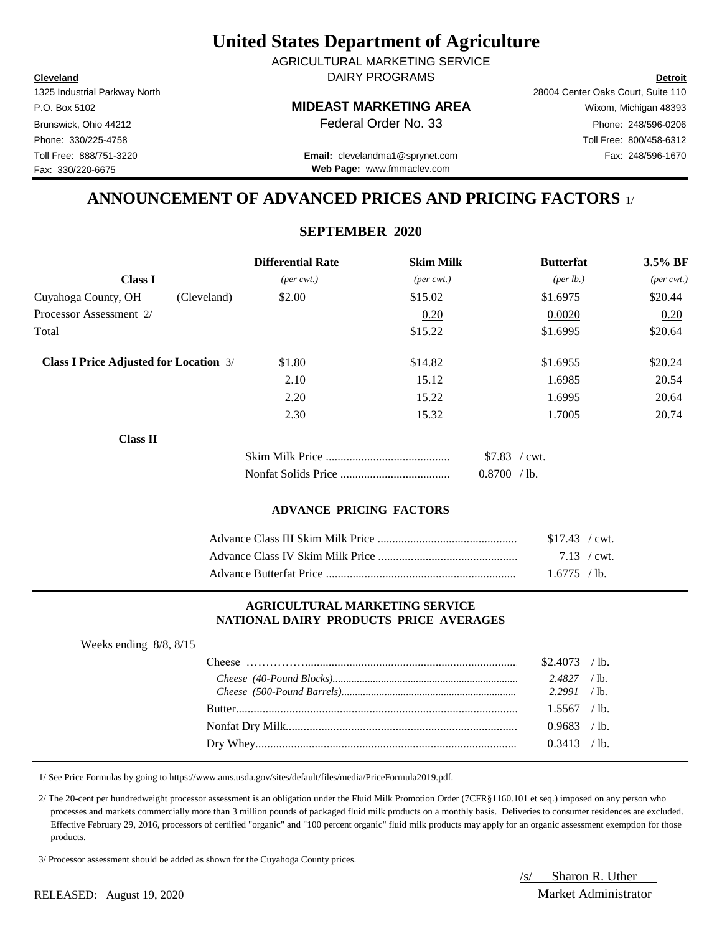**Cleveland Detroit** DAIRY PROGRAMS AGRICULTURAL MARKETING SERVICE

Fax: 330/220-6675

### P.O. Box 5102 **MIDEAST MARKETING AREA** Wixom, Michigan 48393

1325 Industrial Parkway North 28004 Center Oaks Court, Suite 110 Brunswick, Ohio 44212 **Phone:** 248/596-0206 **Federal Order No. 33** Phone: 248/596-0206 Phone: 330/225-4758 Toll Free: 800/458-6312

Toll Free: 888/751-3220 Fax: 248/596-1670 **Email:** clevelandma1@sprynet.com **Web Page:** www.fmmaclev.com

## **ANNOUNCEMENT OF ADVANCED PRICES AND PRICING FACTORS** 1/

## **SEPTEMBER 2020**

|                                               | <b>Differential Rate</b>    | <b>Skim Milk</b>            | <b>Butterfat</b>               | 3.5% BF                     |
|-----------------------------------------------|-----------------------------|-----------------------------|--------------------------------|-----------------------------|
| <b>Class I</b>                                | $(\text{per} \text{ cwt.})$ | $(\text{per} \text{ cwt.})$ | ${\rm (per \, lb.)}$           | $(\text{per} \text{ cwt.})$ |
| Cuyahoga County, OH<br>(Cleveland)            | \$2.00                      | \$15.02                     | \$1.6975                       | \$20.44                     |
| Processor Assessment 2/                       |                             | 0.20                        | 0.0020                         | 0.20                        |
| Total                                         |                             | \$15.22                     | \$1.6995                       | \$20.64                     |
| <b>Class I Price Adjusted for Location 3/</b> | \$1.80                      | \$14.82                     | \$1.6955                       | \$20.24                     |
|                                               | 2.10                        | 15.12                       | 1.6985                         | 20.54                       |
|                                               | 2.20                        | 15.22                       | 1.6995                         | 20.64                       |
|                                               | 2.30                        | 15.32                       | 1.7005                         | 20.74                       |
| <b>Class II</b>                               |                             |                             |                                |                             |
|                                               |                             |                             | $$7.83$ / cwt.<br>0.8700 / lb. |                             |

#### **ADVANCE PRICING FACTORS**

| $$17.43$ / cwt. |  |
|-----------------|--|
| 7.13 / cwt.     |  |
| $1.6775$ / lb.  |  |

#### **AGRICULTURAL MARKETING SERVICE NATIONAL DAIRY PRODUCTS PRICE AVERAGES**

| Weeks ending $8/8$ , $8/15$ |                |  |
|-----------------------------|----------------|--|
|                             | $$2.4073$ /lb. |  |
|                             | $2.4827$ /lb.  |  |
|                             |                |  |
|                             | $1.5567$ /lb.  |  |
|                             | $0.9683$ /lb.  |  |
|                             | $0.3413$ /lb.  |  |
|                             |                |  |

1/ See Price Formulas by going to https://www.ams.usda.gov/sites/default/files/media/PriceFormula2019.pdf.

 2/ The 20-cent per hundredweight processor assessment is an obligation under the Fluid Milk Promotion Order (7CFR§1160.101 et seq.) imposed on any person who processes and markets commercially more than 3 million pounds of packaged fluid milk products on a monthly basis. Deliveries to consumer residences are excluded. Effective February 29, 2016, processors of certified "organic" and "100 percent organic" fluid milk products may apply for an organic assessment exemption for those products.

3/ Processor assessment should be added as shown for the Cuyahoga County prices.

/s/ Sharon R. Uther

RELEASED: August 19, 2020 Market Administrator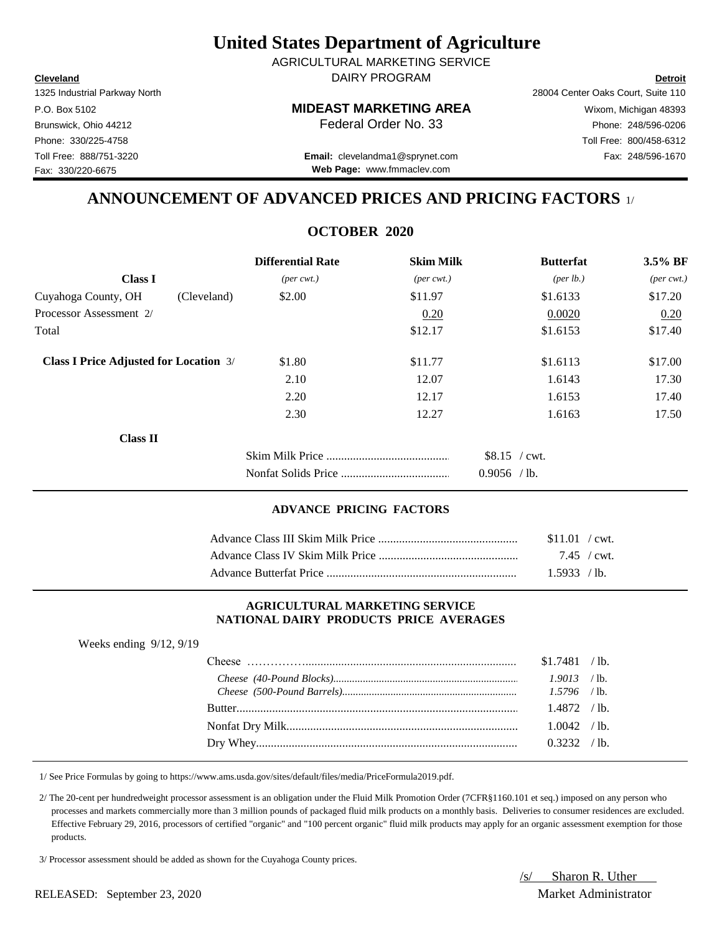**Cleveland Detroit** DAIRY PROGRAM AGRICULTURAL MARKETING SERVICE

Fax: 330/220-6675

## P.O. Box 5102 **MIDEAST MARKETING AREA** Wixom, Michigan 48393

1325 Industrial Parkway North 28004 Center Oaks Court, Suite 110 Brunswick, Ohio 44212 **Phone:** 248/596-0206 **Federal Order No. 33** Phone: 248/596-0206 Phone: 330/225-4758 Toll Free: 800/458-6312

Toll Free: 888/751-3220 Fax: 248/596-1670 **Email:** clevelandma1@sprynet.com **Web Page:** www.fmmaclev.com

## **ANNOUNCEMENT OF ADVANCED PRICES AND PRICING FACTORS** 1/

## **OCTOBER 2020**

|                                               |             | <b>Differential Rate</b>    | <b>Skim Milk</b>            | <b>Butterfat</b>                | $3.5\%$ BF                  |
|-----------------------------------------------|-------------|-----------------------------|-----------------------------|---------------------------------|-----------------------------|
| <b>Class I</b>                                |             | $(\text{per} \text{ cwt.})$ | $(\text{per} \text{ cwt.})$ | $(\text{per lb.})$              | $(\text{per} \text{ cwt.})$ |
| Cuyahoga County, OH                           | (Cleveland) | \$2.00                      | \$11.97                     | \$1.6133                        | \$17.20                     |
| Processor Assessment 2/                       |             |                             | 0.20                        | 0.0020                          | 0.20                        |
| Total                                         |             |                             | \$12.17                     | \$1.6153                        | \$17.40                     |
| <b>Class I Price Adjusted for Location 3/</b> |             | \$1.80                      | \$11.77                     | \$1.6113                        | \$17.00                     |
|                                               |             | 2.10                        | 12.07                       | 1.6143                          | 17.30                       |
|                                               |             | 2.20                        | 12.17                       | 1.6153                          | 17.40                       |
|                                               |             | 2.30                        | 12.27                       | 1.6163                          | 17.50                       |
| <b>Class II</b>                               |             |                             |                             |                                 |                             |
|                                               |             |                             |                             | $$8.15$ / cwt.<br>$0.9056$ /lb. |                             |

#### **ADVANCE PRICING FACTORS**

| \$11.01 / cwt. |
|----------------|
| 7.45 / cwt.    |
| 1.5933 / lb.   |

#### **AGRICULTURAL MARKETING SERVICE NATIONAL DAIRY PRODUCTS PRICE AVERAGES**

| Weeks ending $9/12$ , $9/19$ |                |      |
|------------------------------|----------------|------|
|                              | $$1.7481$ /lb. |      |
|                              | $1.9013$ /lb.  |      |
|                              |                |      |
|                              | $1.4872$ /lb.  |      |
|                              | $1.0042$ /lb.  |      |
|                              |                | ʻlb. |

1/ See Price Formulas by going to https://www.ams.usda.gov/sites/default/files/media/PriceFormula2019.pdf.

 2/ The 20-cent per hundredweight processor assessment is an obligation under the Fluid Milk Promotion Order (7CFR§1160.101 et seq.) imposed on any person who processes and markets commercially more than 3 million pounds of packaged fluid milk products on a monthly basis. Deliveries to consumer residences are excluded. Effective February 29, 2016, processors of certified "organic" and "100 percent organic" fluid milk products may apply for an organic assessment exemption for those products.

3/ Processor assessment should be added as shown for the Cuyahoga County prices.

/s/ Sharon R. Uther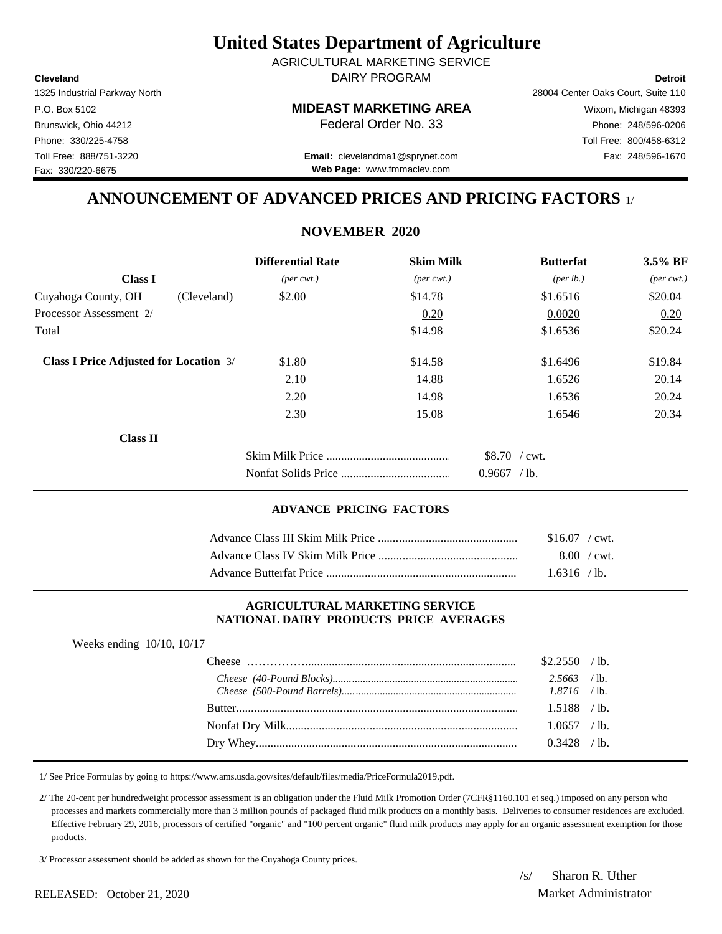**Cleveland Detroit** DAIRY PROGRAM AGRICULTURAL MARKETING SERVICE

Fax: 330/220-6675

## P.O. Box 5102 **MIDEAST MARKETING AREA** Wixom, Michigan 48393

1325 Industrial Parkway North 28004 Center Oaks Court, Suite 110 Brunswick, Ohio 44212 **Phone: 248/596-0206 Federal Order No. 33** Phone: 248/596-0206 Phone: 330/225-4758 Toll Free: 800/458-6312

Toll Free: 888/751-3220 Fax: 248/596-1670 **Email:** clevelandma1@sprynet.com **Web Page:** www.fmmaclev.com

## **ANNOUNCEMENT OF ADVANCED PRICES AND PRICING FACTORS** 1/

## **NOVEMBER 2020**

|                                               | <b>Differential Rate</b>    | <b>Skim Milk</b>            | <b>Butterfat</b>   | 3.5% BF                     |
|-----------------------------------------------|-----------------------------|-----------------------------|--------------------|-----------------------------|
| <b>Class I</b>                                | $(\text{per} \text{ cwt.})$ | $(\text{per} \text{ cwt.})$ | $(\text{per lb.})$ | $(\text{per} \text{ cwt.})$ |
| Cuyahoga County, OH<br>(Cleveland)            | \$2.00                      | \$14.78                     | \$1.6516           | \$20.04                     |
| Processor Assessment 2/                       |                             | 0.20                        | 0.0020             | 0.20                        |
| Total                                         |                             | \$14.98                     | \$1.6536           | \$20.24                     |
| <b>Class I Price Adjusted for Location 3/</b> | \$1.80                      | \$14.58                     | \$1.6496           | \$19.84                     |
|                                               | 2.10                        | 14.88                       | 1.6526             | 20.14                       |
|                                               | 2.20                        | 14.98                       | 1.6536             | 20.24                       |
|                                               | 2.30                        | 15.08                       | 1.6546             | 20.34                       |
| <b>Class II</b>                               |                             |                             |                    |                             |
|                                               |                             |                             | $$8.70$ / cwt.     |                             |
|                                               |                             |                             | 0.9667<br>$/1b$ .  |                             |

#### **ADVANCE PRICING FACTORS**

| $$16.07$ / cwt.       |
|-----------------------|
| $8.00 / \text{cwt}$ . |
| 1.6316 / lb.          |

#### **AGRICULTURAL MARKETING SERVICE NATIONAL DAIRY PRODUCTS PRICE AVERAGES**

| $$2.2550$ /lb.<br>$2.5663$ /lb.<br>$1.5188$ /lb.<br>$1.0657$ /lb.<br>$0.3428$ /lb. | Weeks ending $10/10$ , $10/17$ |  |  |
|------------------------------------------------------------------------------------|--------------------------------|--|--|
|                                                                                    |                                |  |  |
|                                                                                    |                                |  |  |
|                                                                                    |                                |  |  |
|                                                                                    |                                |  |  |
|                                                                                    |                                |  |  |
|                                                                                    |                                |  |  |

1/ See Price Formulas by going to https://www.ams.usda.gov/sites/default/files/media/PriceFormula2019.pdf.

 2/ The 20-cent per hundredweight processor assessment is an obligation under the Fluid Milk Promotion Order (7CFR§1160.101 et seq.) imposed on any person who processes and markets commercially more than 3 million pounds of packaged fluid milk products on a monthly basis. Deliveries to consumer residences are excluded. Effective February 29, 2016, processors of certified "organic" and "100 percent organic" fluid milk products may apply for an organic assessment exemption for those products.

3/ Processor assessment should be added as shown for the Cuyahoga County prices.

/s/ Sharon R. Uther

#### RELEASED: October 21, 2020 Market Administrator